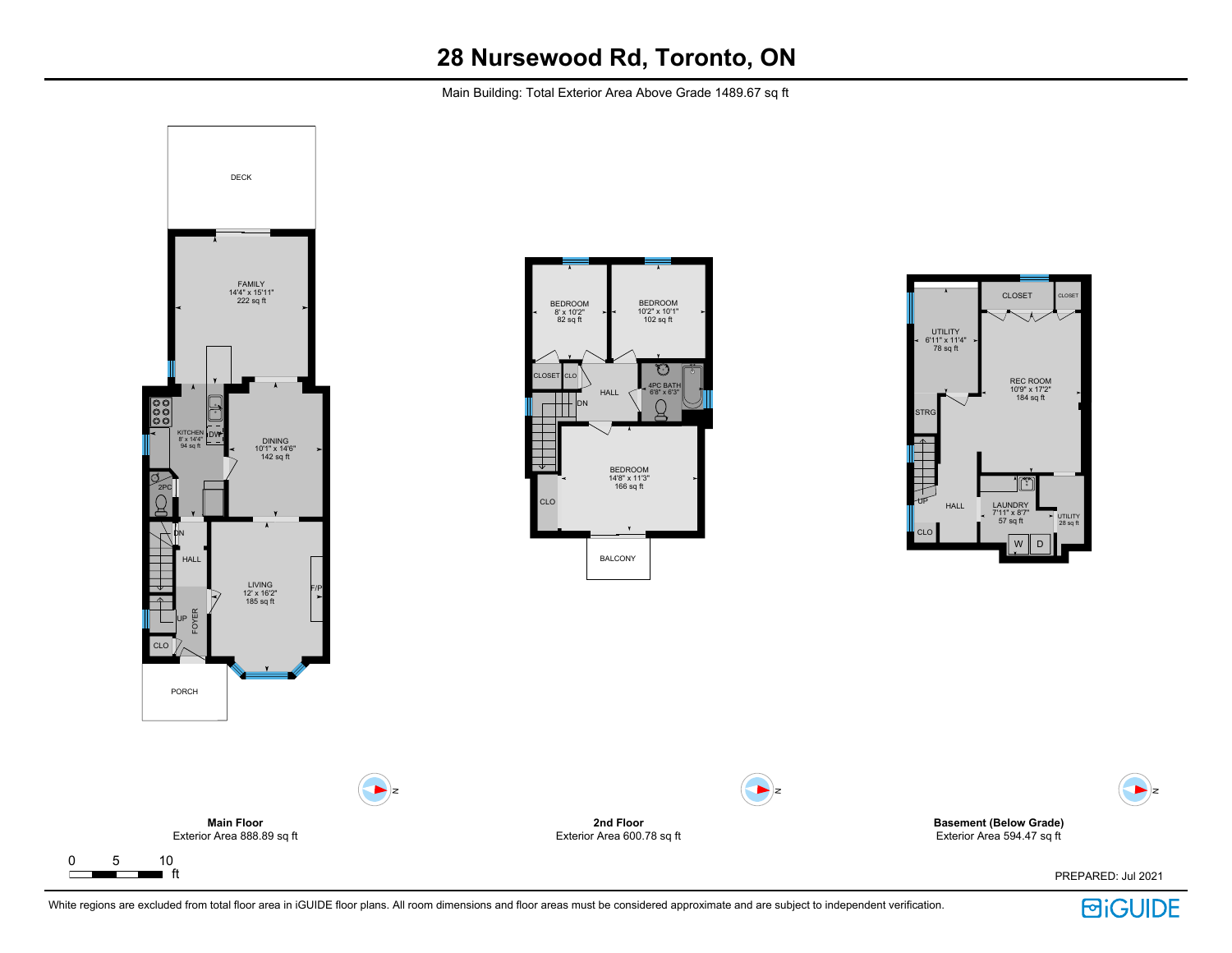Main Building: Total Exterior Area Above Grade 1489.67 sq ft



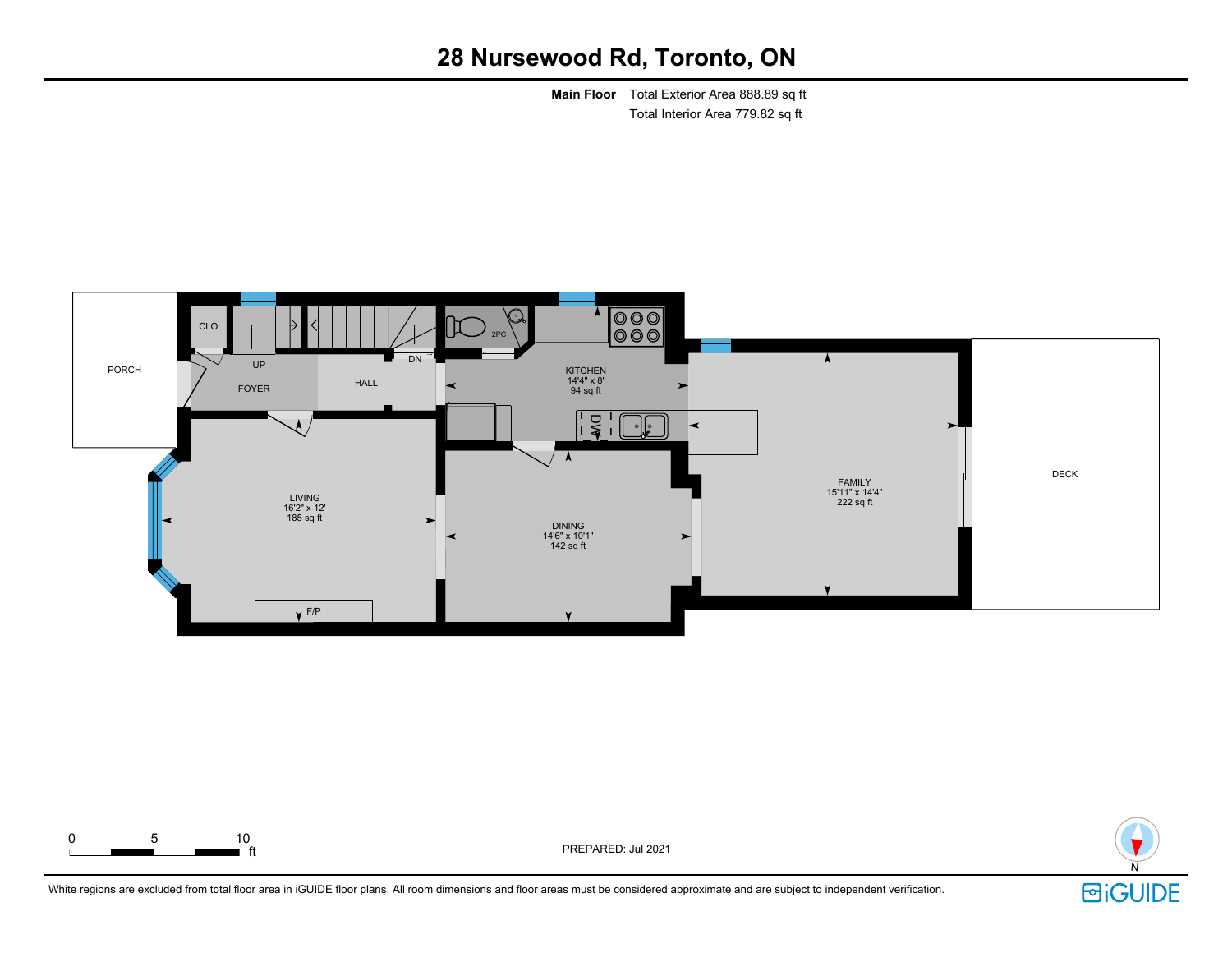**Main Floor** Total Exterior Area 888.89 sq ft Total Interior Area 779.82 sq ft





PREPARED: Jul 2021

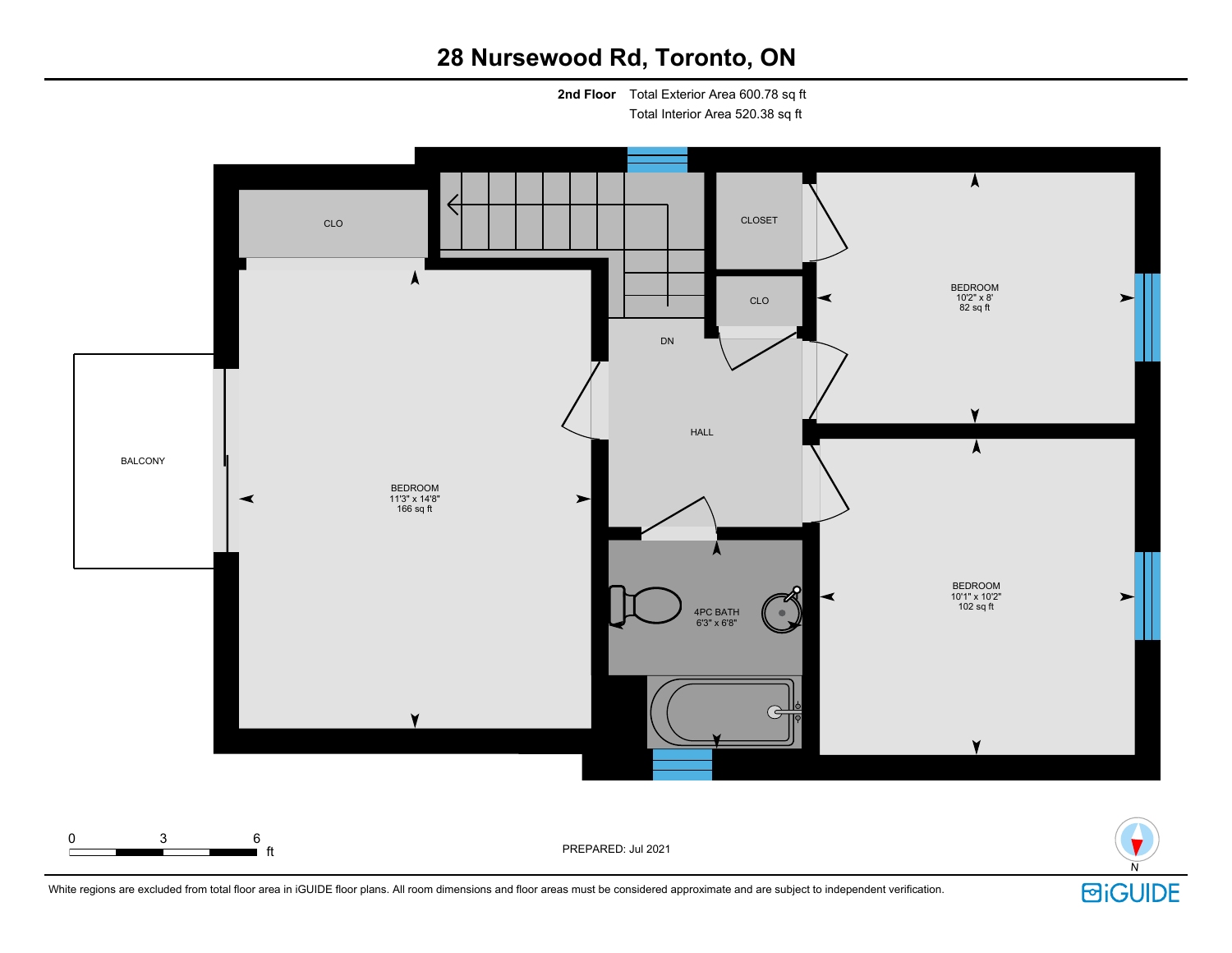**2nd Floor** Total Exterior Area 600.78 sq ft

Total Interior Area 520.38 sq ft



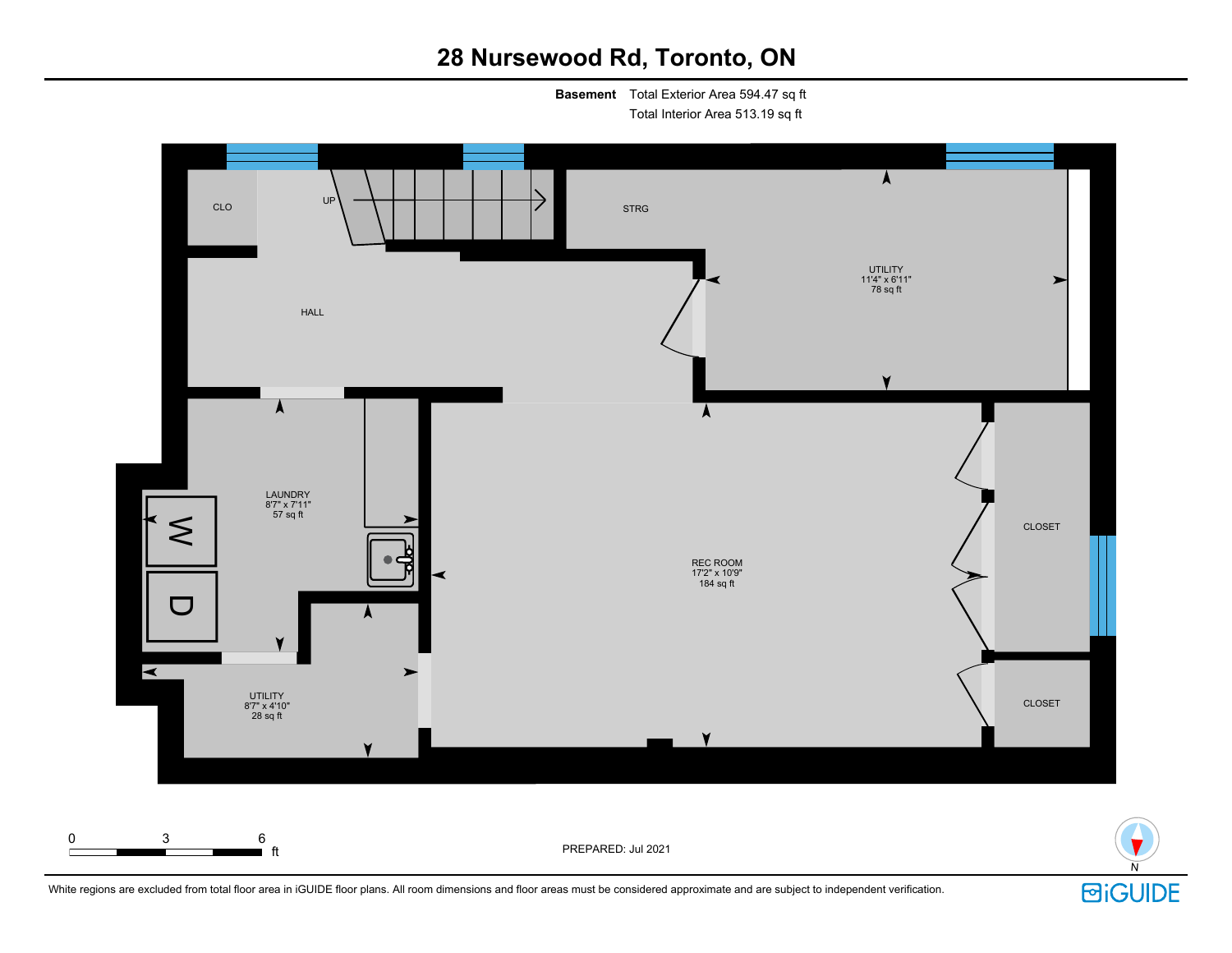**Basement** Total Exterior Area 594.47 sq ft

Total Interior Area 513.19 sq ft



White regions are excluded from total floor area in iGUIDE floor plans. All room dimensions and floor areas must be considered approximate and are subject to independent verification.

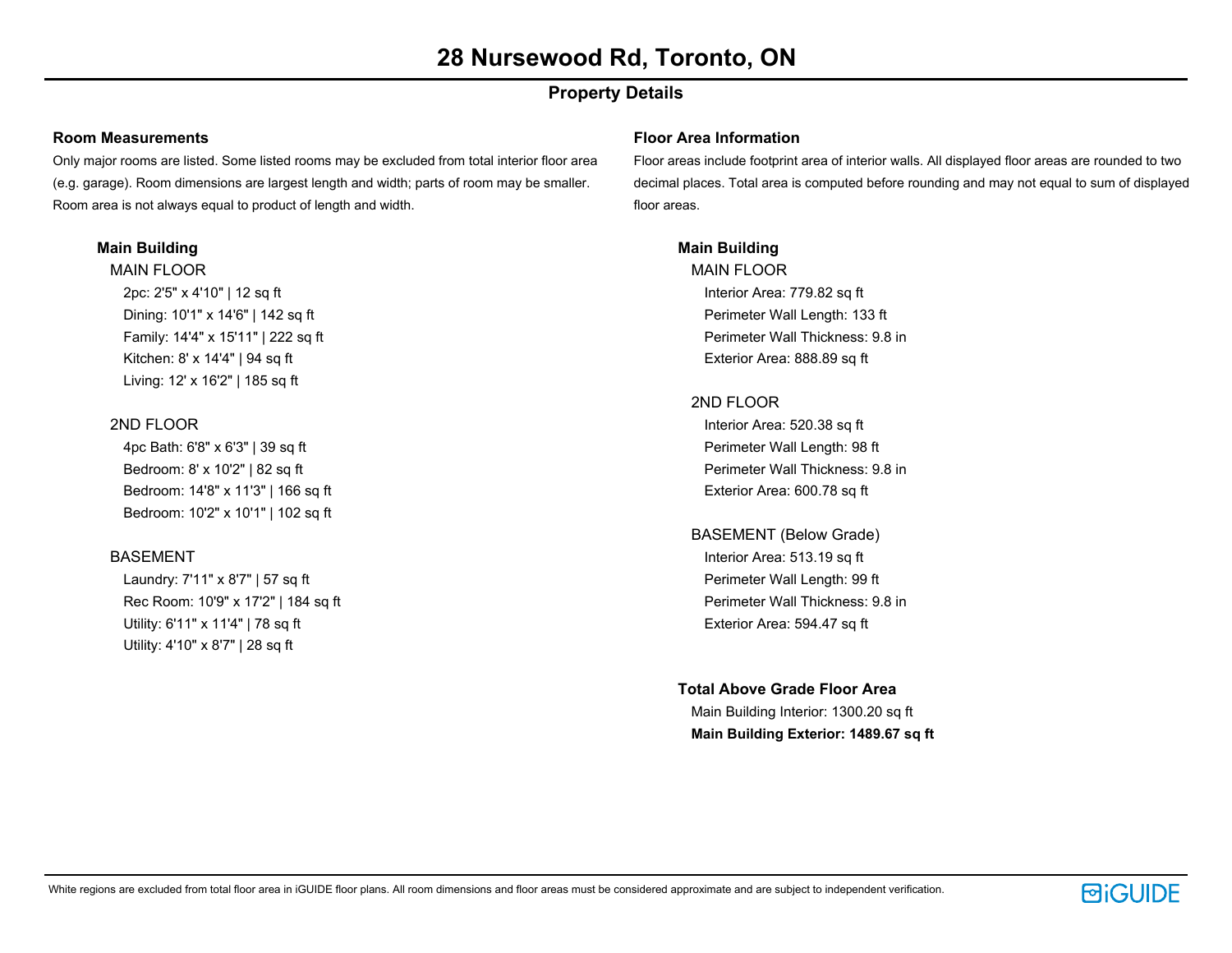### **Property Details**

#### **Room Measurements**

Only major rooms are listed. Some listed rooms may be excluded from total interior floor area (e.g. garage). Room dimensions are largest length and width; parts of room may be smaller. Room area is not always equal to product of length and width.

#### **Main Building**

MAIN FLOOR 2pc: 2'5" x 4'10" | 12 sq ft Dining: 10'1" x 14'6" | 142 sq ft Family: 14'4" x 15'11" | 222 sq ft Kitchen: 8' x 14'4" | 94 sq ft Living: 12' x 16'2" | 185 sq ft

#### 2ND FLOOR

4pc Bath: 6'8" x 6'3" | 39 sq ft Bedroom: 8' x 10'2" | 82 sq ft Bedroom: 14'8" x 11'3" | 166 sq ft Bedroom: 10'2" x 10'1" | 102 sq ft

#### BASEMENT

Laundry: 7'11" x 8'7" | 57 sq ft Rec Room: 10'9" x 17'2" | 184 sq ft Utility: 6'11" x 11'4" | 78 sq ft Utility: 4'10" x 8'7" | 28 sq ft

#### **Floor Area Information**

Floor areas include footprint area of interior walls. All displayed floor areas are rounded to two decimal places. Total area is computed before rounding and may not equal to sum of displayed floor areas.

#### **Main Building**

MAIN FLOOR Interior Area: 779.82 sq ft Perimeter Wall Length: 133 ft Perimeter Wall Thickness: 9.8 in Exterior Area: 888.89 sq ft

#### 2ND FLOOR

Interior Area: 520.38 sq ft Perimeter Wall Length: 98 ft Perimeter Wall Thickness: 9.8 in Exterior Area: 600.78 sq ft

BASEMENT (Below Grade) Interior Area: 513.19 sq ft Perimeter Wall Length: 99 ft Perimeter Wall Thickness: 9.8 in Exterior Area: 594.47 sq ft

#### **Total Above Grade Floor Area**

Main Building Interior: 1300.20 sq ft **Main Building Exterior: 1489.67 sq ft**